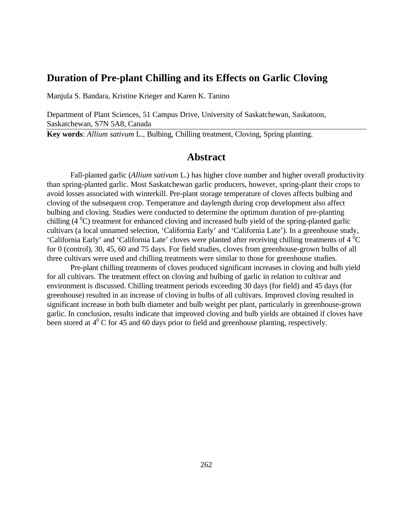### **Duration of Pre-plant Chilling and its Effects on Garlic Cloving**

Manjula S. Bandara, Kristine Krieger and Karen K. Tanino

Department of Plant Sciences, 51 Campus Drive, University of Saskatchewan, Saskatoon, Saskatchewan, S7N 5A8, Canada

**Key words**: *Allium sativum* L., Bulbing, Chilling treatment, Cloving, Spring planting.

### **Abstract**

Fall-planted garlic (*Allium sativum* L.) has higher clove number and higher overall productivity than spring-planted garlic. Most Saskatchewan garlic producers, however, spring-plant their crops to avoid losses associated with winterkill. Pre-plant storage temperature of cloves affects bulbing and cloving of the subsequent crop. Temperature and daylength during crop development also affect bulbing and cloving. Studies were conducted to determine the optimum duration of pre-planting chilling  $(4^{\circ}C)$  treatment for enhanced cloving and increased bulb yield of the spring-planted garlic cultivars (a local unnamed selection, 'California Early' and 'California Late'). In a greenhouse study, 'California Early' and 'California Late' cloves were planted after receiving chilling treatments of  $4^{\degree}C$ for 0 (control), 30, 45, 60 and 75 days. For field studies, cloves from greenhouse-grown bulbs of all three cultivars were used and chilling treatments were similar to those for greenhouse studies.

Pre-plant chilling treatments of cloves produced significant increases in cloving and bulb yield for all cultivars. The treatment effect on cloving and bulbing of garlic in relation to cultivar and environment is discussed. Chilling treatment periods exceeding 30 days (for field) and 45 days (for greenhouse) resulted in an increase of cloving in bulbs of all cultivars. Improved cloving resulted in significant increase in both bulb diameter and bulb weight per plant, particularly in greenhouse-grown garlic. In conclusion, results indicate that improved cloving and bulb yields are obtained if cloves have been stored at  $4^0$  C for 45 and 60 days prior to field and greenhouse planting, respectively.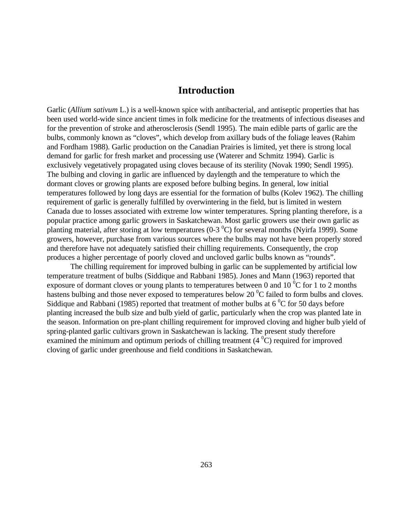### **Introduction**

Garlic (*Allium sativum* L.) is a well-known spice with antibacterial, and antiseptic properties that has been used world-wide since ancient times in folk medicine for the treatments of infectious diseases and for the prevention of stroke and atherosclerosis (Sendl 1995). The main edible parts of garlic are the bulbs, commonly known as "cloves", which develop from axillary buds of the foliage leaves (Rahim and Fordham 1988). Garlic production on the Canadian Prairies is limited, yet there is strong local demand for garlic for fresh market and processing use (Waterer and Schmitz 1994). Garlic is exclusively vegetatively propagated using cloves because of its sterility (Novak 1990; Sendl 1995). The bulbing and cloving in garlic are influenced by daylength and the temperature to which the dormant cloves or growing plants are exposed before bulbing begins. In general, low initial temperatures followed by long days are essential for the formation of bulbs (Kolev 1962). The chilling requirement of garlic is generally fulfilled by overwintering in the field, but is limited in western Canada due to losses associated with extreme low winter temperatures. Spring planting therefore, is a popular practice among garlic growers in Saskatchewan. Most garlic growers use their own garlic as planting material, after storing at low temperatures (0-3 $^{\circ}$ C) for several months (Nyirfa 1999). Some growers, however, purchase from various sources where the bulbs may not have been properly stored and therefore have not adequately satisfied their chilling requirements. Consequently, the crop produces a higher percentage of poorly cloved and uncloved garlic bulbs known as "rounds".

The chilling requirement for improved bulbing in garlic can be supplemented by artificial low temperature treatment of bulbs (Siddique and Rabbani 1985). Jones and Mann (1963) reported that exposure of dormant cloves or young plants to temperatures between 0 and 10  $^{\circ}$ C for 1 to 2 months hastens bulbing and those never exposed to temperatures below 20 $\mathrm{^0C}$  failed to form bulbs and cloves. Siddique and Rabbani (1985) reported that treatment of mother bulbs at  $6\degree$ C for 50 days before planting increased the bulb size and bulb yield of garlic, particularly when the crop was planted late in the season. Information on pre-plant chilling requirement for improved cloving and higher bulb yield of spring-planted garlic cultivars grown in Saskatchewan is lacking. The present study therefore examined the minimum and optimum periods of chilling treatment  $(4<sup>0</sup>C)$  required for improved cloving of garlic under greenhouse and field conditions in Saskatchewan.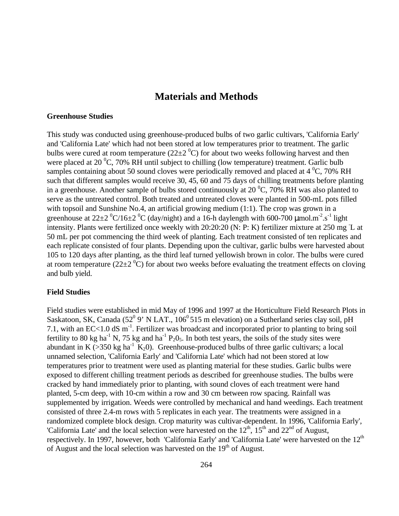# **Materials and Methods**

### **Greenhouse Studies**

This study was conducted using greenhouse-produced bulbs of two garlic cultivars, 'California Early' and 'California Late' which had not been stored at low temperatures prior to treatment. The garlic bulbs were cured at room temperature (22 $\pm$ 2<sup>0</sup>C) for about two weeks following harvest and then were placed at 20  $^{\circ}$ C, 70% RH until subject to chilling (low temperature) treatment. Garlic bulb samples containing about 50 sound cloves were periodically removed and placed at  $4\degree$ C, 70% RH such that different samples would receive 30, 45, 60 and 75 days of chilling treatments before planting in a greenhouse. Another sample of bulbs stored continuously at 20  $^{\circ}$ C, 70% RH was also planted to serve as the untreated control. Both treated and untreated cloves were planted in 500-mL pots filled with topsoil and Sunshine No.4, an artificial growing medium (1:1). The crop was grown in a greenhouse at  $22\pm 2~^0C/16\pm 2~^0C$  (day/night) and a 16-h daylength with 600-700 µmol.m<sup>-2</sup>.s<sup>-1</sup> light intensity. Plants were fertilized once weekly with 20:20:20 (N: P: K) fertilizer mixture at 250 mg L at 50 mL per pot commencing the third week of planting. Each treatment consisted of ten replicates and each replicate consisted of four plants. Depending upon the cultivar, garlic bulbs were harvested about 105 to 120 days after planting, as the third leaf turned yellowish brown in color. The bulbs were cured at room temperature (22 $\pm$ 2<sup>0</sup>C) for about two weeks before evaluating the treatment effects on cloving and bulb yield.

#### **Field Studies**

Field studies were established in mid May of 1996 and 1997 at the Horticulture Field Research Plots in Saskatoon, SK, Canada (52<sup>0</sup> 9' N LAT., 106<sup>0</sup> 515 m elevation) on a Sutherland series clay soil, pH 7.1, with an EC<1.0 dS  $m^{-1}$ . Fertilizer was broadcast and incorporated prior to planting to bring soil fertility to 80 kg ha<sup>-1</sup> N, 75 kg and ha<sup>-1</sup> P<sub>2</sub>0<sub>5</sub>. In both test years, the soils of the study sites were abundant in K (>350 kg ha<sup>-1</sup> K<sub>2</sub>0). Greenhouse-produced bulbs of three garlic cultivars; a local unnamed selection, 'California Early' and 'California Late' which had not been stored at low temperatures prior to treatment were used as planting material for these studies. Garlic bulbs were exposed to different chilling treatment periods as described for greenhouse studies. The bulbs were cracked by hand immediately prior to planting, with sound cloves of each treatment were hand planted, 5-cm deep, with 10-cm within a row and 30 cm between row spacing. Rainfall was supplemented by irrigation. Weeds were controlled by mechanical and hand weedings. Each treatment consisted of three 2.4-m rows with 5 replicates in each year. The treatments were assigned in a randomized complete block design. Crop maturity was cultivar-dependent. In 1996, 'California Early', 'California Late' and the local selection were harvested on the  $12<sup>th</sup>$ ,  $15<sup>th</sup>$  and  $22<sup>nd</sup>$  of August, respectively. In 1997, however, both 'California Early' and 'California Late' were harvested on the 12<sup>th</sup> of August and the local selection was harvested on the  $19<sup>th</sup>$  of August.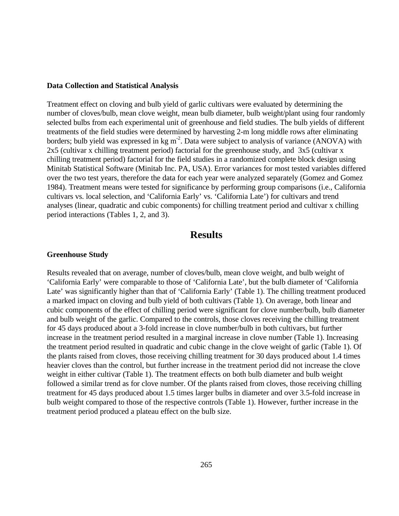#### **Data Collection and Statistical Analysis**

Treatment effect on cloving and bulb yield of garlic cultivars were evaluated by determining the number of cloves/bulb, mean clove weight, mean bulb diameter, bulb weight/plant using four randomly selected bulbs from each experimental unit of greenhouse and field studies. The bulb yields of different treatments of the field studies were determined by harvesting 2-m long middle rows after eliminating borders; bulb yield was expressed in  $kg m<sup>2</sup>$ . Data were subject to analysis of variance (ANOVA) with 2x5 (cultivar x chilling treatment period) factorial for the greenhouse study, and 3x5 (cultivar x chilling treatment period) factorial for the field studies in a randomized complete block design using Minitab Statistical Software (Minitab Inc. PA, USA). Error variances for most tested variables differed over the two test years, therefore the data for each year were analyzed separately (Gomez and Gomez 1984). Treatment means were tested for significance by performing group comparisons (i.e., California cultivars vs. local selection, and 'California Early' vs. 'California Late') for cultivars and trend analyses (linear, quadratic and cubic components) for chilling treatment period and cultivar x chilling period interactions (Tables 1, 2, and 3).

### **Results**

#### **Greenhouse Study**

Results revealed that on average, number of cloves/bulb, mean clove weight, and bulb weight of 'California Early' were comparable to those of 'California Late', but the bulb diameter of 'California Late' was significantly higher than that of 'California Early' (Table 1). The chilling treatment produced a marked impact on cloving and bulb yield of both cultivars (Table 1). On average, both linear and cubic components of the effect of chilling period were significant for clove number/bulb, bulb diameter and bulb weight of the garlic. Compared to the controls, those cloves receiving the chilling treatment for 45 days produced about a 3-fold increase in clove number/bulb in both cultivars, but further increase in the treatment period resulted in a marginal increase in clove number (Table 1). Increasing the treatment period resulted in quadratic and cubic change in the clove weight of garlic (Table 1). Of the plants raised from cloves, those receiving chilling treatment for 30 days produced about 1.4 times heavier cloves than the control, but further increase in the treatment period did not increase the clove weight in either cultivar (Table 1). The treatment effects on both bulb diameter and bulb weight followed a similar trend as for clove number. Of the plants raised from cloves, those receiving chilling treatment for 45 days produced about 1.5 times larger bulbs in diameter and over 3.5-fold increase in bulb weight compared to those of the respective controls (Table 1). However, further increase in the treatment period produced a plateau effect on the bulb size.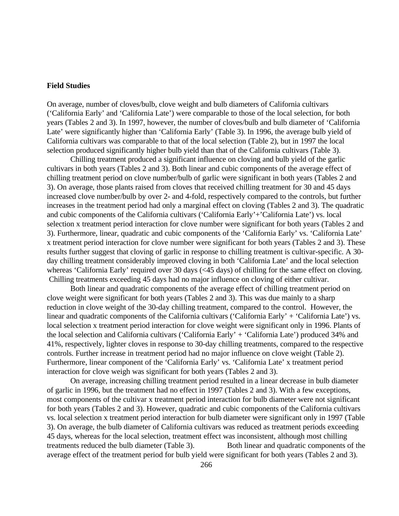#### **Field Studies**

On average, number of cloves/bulb, clove weight and bulb diameters of California cultivars ('California Early' and 'California Late') were comparable to those of the local selection, for both years (Tables 2 and 3). In 1997, however, the number of cloves/bulb and bulb diameter of 'California Late' were significantly higher than 'California Early' (Table 3). In 1996, the average bulb yield of California cultivars was comparable to that of the local selection (Table 2), but in 1997 the local selection produced significantly higher bulb yield than that of the California cultivars (Table 3).

Chilling treatment produced a significant influence on cloving and bulb yield of the garlic cultivars in both years (Tables 2 and 3). Both linear and cubic components of the average effect of chilling treatment period on clove number/bulb of garlic were significant in both years (Tables 2 and 3). On average, those plants raised from cloves that received chilling treatment for 30 and 45 days increased clove number/bulb by over 2- and 4-fold, respectively compared to the controls, but further increases in the treatment period had only a marginal effect on cloving (Tables 2 and 3). The quadratic and cubic components of the California cultivars ('California Early'+'California Late') vs. local selection x treatment period interaction for clove number were significant for both years (Tables 2 and 3). Furthermore, linear, quadratic and cubic components of the 'California Early' vs. 'California Late' x treatment period interaction for clove number were significant for both years (Tables 2 and 3). These results further suggest that cloving of garlic in response to chilling treatment is cultivar-specific. A 30 day chilling treatment considerably improved cloving in both 'California Late' and the local selection whereas 'California Early' required over 30 days (<45 days) of chilling for the same effect on cloving. Chilling treatments exceeding 45 days had no major influence on cloving of either cultivar.

Both linear and quadratic components of the average effect of chilling treatment period on clove weight were significant for both years (Tables 2 and 3). This was due mainly to a sharp reduction in clove weight of the 30-day chilling treatment, compared to the control. However, the linear and quadratic components of the California cultivars ('California Early' + 'California Late') vs. local selection x treatment period interaction for clove weight were significant only in 1996. Plants of the local selection and California cultivars ('California Early' + 'California Late') produced 34% and 41%, respectively, lighter cloves in response to 30-day chilling treatments, compared to the respective controls. Further increase in treatment period had no major influence on clove weight (Table 2). Furthermore, linear component of the 'California Early' vs. 'California Late' x treatment period interaction for clove weigh was significant for both years (Tables 2 and 3).

On average, increasing chilling treatment period resulted in a linear decrease in bulb diameter of garlic in 1996, but the treatment had no effect in 1997 (Tables 2 and 3). With a few exceptions, most components of the cultivar x treatment period interaction for bulb diameter were not significant for both years (Tables 2 and 3). However, quadratic and cubic components of the California cultivars vs. local selection x treatment period interaction for bulb diameter were significant only in 1997 (Table 3). On average, the bulb diameter of California cultivars was reduced as treatment periods exceeding 45 days, whereas for the local selection, treatment effect was inconsistent, although most chilling treatments reduced the bulb diameter (Table 3). Both linear and quadratic components of the average effect of the treatment period for bulb yield were significant for both years (Tables 2 and 3).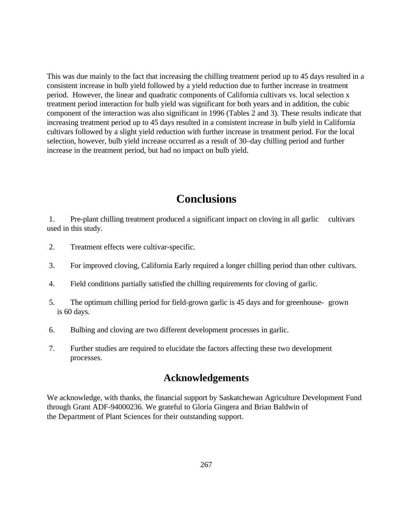This was due mainly to the fact that increasing the chilling treatment period up to 45 days resulted in a consistent increase in bulb yield followed by a yield reduction due to further increase in treatment period. However, the linear and quadratic components of California cultivars vs. local selection x treatment period interaction for bulb yield was significant for both years and in addition, the cubic component of the interaction was also significant in 1996 (Tables 2 and 3). These results indicate that increasing treatment period up to 45 days resulted in a consistent increase in bulb yield in California cultivars followed by a slight yield reduction with further increase in treatment period. For the local selection, however, bulb yield increase occurred as a result of 30–day chilling period and further increase in the treatment period, but had no impact on bulb yield.

# **Conclusions**

 1. Pre-plant chilling treatment produced a significant impact on cloving in all garlic cultivars used in this study.

- 2. Treatment effects were cultivar-specific.
- 3. For improved cloving, California Early required a longer chilling period than other cultivars.
- 4. Field conditions partially satisfied the chilling requirements for cloving of garlic.
- 5. The optimum chilling period for field-grown garlic is 45 days and for greenhouse- grown is 60 days.
- 6. Bulbing and cloving are two different development processes in garlic.
- 7. Further studies are required to elucidate the factors affecting these two development processes.

# **Acknowledgements**

We acknowledge, with thanks, the financial support by Saskatchewan Agriculture Development Fund through Grant ADF-94000236. We grateful to Gloria Gingera and Brian Baldwin of the Department of Plant Sciences for their outstanding support.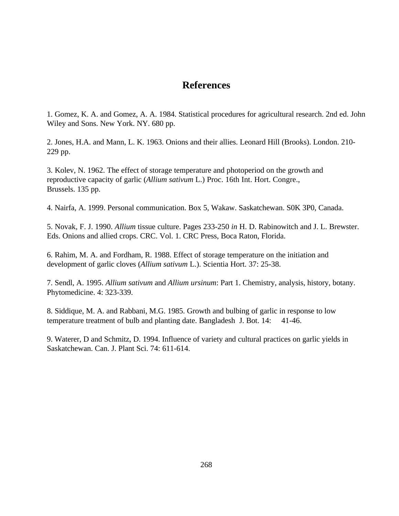# **References**

1. Gomez, K. A. and Gomez, A. A. 1984. Statistical procedures for agricultural research. 2nd ed. John Wiley and Sons. New York. NY. 680 pp.

2. Jones, H.A. and Mann, L. K. 1963. Onions and their allies. Leonard Hill (Brooks). London. 210- 229 pp.

3. Kolev, N. 1962. The effect of storage temperature and photoperiod on the growth and reproductive capacity of garlic (*Allium sativum* L.) Proc. 16th Int. Hort. Congre., Brussels. 135 pp.

4. Nairfa, A. 1999. Personal communication. Box 5, Wakaw. Saskatchewan. S0K 3P0, Canada.

5. Novak, F. J. 1990. *Allium* tissue culture. Pages 233-250 *in* H. D. Rabinowitch and J. L. Brewster. Eds. Onions and allied crops. CRC. Vol. 1. CRC Press, Boca Raton, Florida.

6. Rahim, M. A. and Fordham, R. 1988. Effect of storage temperature on the initiation and development of garlic cloves (*Allium sativum* L.). Scientia Hort. 37: 25-38.

7. Sendl, A. 1995. *Allium sativum* and *Allium ursinum*: Part 1. Chemistry, analysis, history, botany. Phytomedicine. 4: 323-339.

8. Siddique, M. A. and Rabbani, M.G. 1985. Growth and bulbing of garlic in response to low temperature treatment of bulb and planting date. Bangladesh J. Bot. 14: 41-46.

9. Waterer, D and Schmitz, D. 1994. Influence of variety and cultural practices on garlic yields in Saskatchewan. Can. J. Plant Sci. 74: 611-614.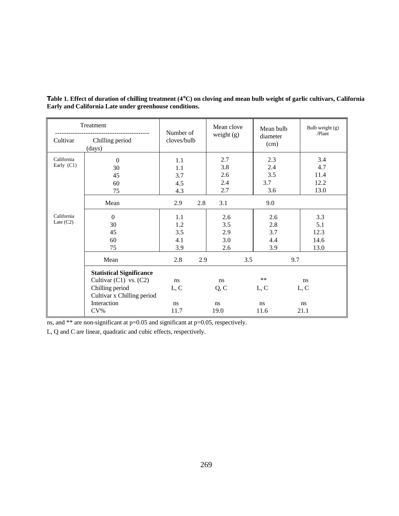| Treatment                  |                                                                                                                                         | Number of                       |     | Mean clove                      | Mean bulb                       | Bulb weight (g)<br>/Plant          |
|----------------------------|-----------------------------------------------------------------------------------------------------------------------------------------|---------------------------------|-----|---------------------------------|---------------------------------|------------------------------------|
| Cultivar                   | Chilling period<br>(days)                                                                                                               | cloves/bulb                     |     | weight $(g)$                    | diameter<br>(cm)                |                                    |
| California<br>Early $(C1)$ | $\mathbf{0}$<br>30<br>45<br>60                                                                                                          | 1.1<br>1.1<br>3.7<br>4.5        |     | 2.7<br>3.8<br>2.6<br>2.4        | 2.3<br>2.4<br>3.5<br>3.7        | 3.4<br>4.7<br>11.4<br>12.2         |
|                            | 75                                                                                                                                      | 4.3                             |     | 2.7                             | 3.6                             | 13.0                               |
|                            | Mean                                                                                                                                    | 2.9                             | 2.8 | 3.1                             | 9.0                             |                                    |
| California<br>Late $(C2)$  | $\Omega$<br>30<br>45<br>60<br>75                                                                                                        | 1.1<br>1.2<br>3.5<br>4.1<br>3.9 |     | 2.6<br>3.5<br>2.9<br>3.0<br>2.6 | 2.6<br>2.8<br>3.7<br>4.4<br>3.9 | 3.3<br>5.1<br>12.3<br>14.6<br>13.0 |
|                            | Mean                                                                                                                                    | 2.8                             | 2.9 |                                 | 3.5<br>9.7                      |                                    |
|                            | <b>Statistical Significance</b><br>Cultivar $(C1)$ vs. $(C2)$<br>Chilling period<br>Cultivar x Chilling period<br>Interaction<br>$CV\%$ | ns<br>L, C<br>ns<br>11.7        |     | ns<br>Q, C<br>ns<br>19.0        | $***$<br>L, C<br>ns<br>11.6     | ns<br>L, C<br>ns<br>21.1           |

**Table 1. Effect of duration of chilling treatment (4**°**C) on cloving and mean bulb weight of garlic cultivars, California Early and California Late under greenhouse conditions.**

ns, and \*\* are non-significant at p=0.05 and significant at p=0.05, respectively.

L, Q and C are linear, quadratic and cubic effects, respectively.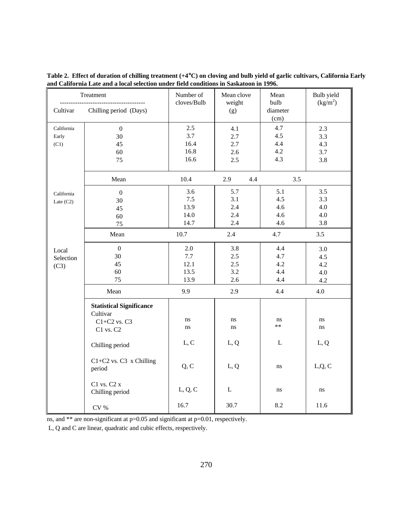**Table 2. Effect of duration of chilling treatment (+4**°**C) on cloving and bulb yield of garlic cultivars, California Early and California Late and a local selection under field conditions in Saskatoon in 1996.** 

| Treatment           |                                             | Number of<br>cloves/Bulb | Mean clove<br>weight | Mean<br>bulb     | Bulb yield<br>(kg/m <sup>2</sup> ) |
|---------------------|---------------------------------------------|--------------------------|----------------------|------------------|------------------------------------|
| Cultivar            | Chilling period (Days)                      |                          | (g)                  | diameter<br>(cm) |                                    |
| California<br>Early | $\boldsymbol{0}$<br>30                      | 2.5<br>3.7               | 4.1<br>2.7           | 4.7<br>4.5       | 2.3<br>3.3                         |
| (C1)                | 45                                          | 16.4                     | 2.7                  | 4.4              | 4.3                                |
|                     | 60                                          | 16.8                     | 2.6                  | 4.2              | 3.7                                |
|                     | 75                                          | 16.6                     | 2.5                  | 4.3              | 3.8                                |
|                     | Mean                                        | 10.4                     | 2.9<br>4.4           | 3.5              |                                    |
| California          | $\boldsymbol{0}$                            | 3.6                      | 5.7                  | 5.1              | 3.5                                |
| Late $(C2)$         | 30                                          | 7.5                      | 3.1                  | 4.5              | 3.3                                |
|                     | 45                                          | 13.9                     | 2.4                  | 4.6              | 4.0                                |
|                     | 60                                          | 14.0                     | 2.4                  | 4.6              | 4.0                                |
|                     | 75                                          | 14.7                     | 2.4                  | 4.6              | 3.8                                |
|                     | Mean                                        | 10.7                     | 2.4                  | 4.7              | 3.5                                |
| Local               | $\boldsymbol{0}$                            | 2.0                      | 3.8                  | 4.4              | 3.0                                |
| Selection           | 30                                          | 7.7                      | 2.5                  | 4.7              | 4.5                                |
| (C3)                | 45                                          | 12.1                     | 2.5                  | 4.2              | 4.2                                |
|                     | 60                                          | 13.5                     | 3.2                  | 4.4              | 4.0                                |
|                     | 75                                          | 13.9                     | 2.6                  | 4.4              | 4.2                                |
|                     | Mean                                        | 9.9                      | 2.9                  | 4.4              | 4.0                                |
|                     | <b>Statistical Significance</b><br>Cultivar |                          |                      |                  |                                    |
|                     | $C1+C2$ vs. $C3$                            | ns                       | ns                   | ns               | ns                                 |
|                     | C1 vs. C2                                   | ns                       | ns                   | $**$             | ns                                 |
|                     | Chilling period                             | L, C                     | L, Q                 | L                | L, Q                               |
|                     | C1+C2 vs. C3 x Chilling<br>period           | Q, C                     | L, Q                 | ns               | L,Q, C                             |
|                     | C1 vs. C2 x<br>Chilling period              | L, Q, C                  | L                    | ns               | ns                                 |
|                     | $\rm{CV}$ %                                 | 16.7                     | 30.7                 | 8.2              | 11.6                               |

ns, and \*\* are non-significant at p=0.05 and significant at p=0.01, respectively.

L, Q and C are linear, quadratic and cubic effects, respectively.